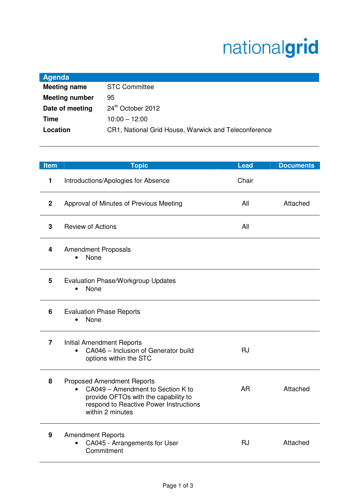## nationalgrid

| <b>STC Committee</b>                                 |
|------------------------------------------------------|
|                                                      |
| 24th October 2012                                    |
| $10:00 - 12:00$                                      |
| CR1, National Grid House, Warwick and Teleconference |
|                                                      |

| <b>Item</b>    | <b>Topic</b>                                                                                                                                                                              | <b>Lead</b> | <b>Documents</b> |
|----------------|-------------------------------------------------------------------------------------------------------------------------------------------------------------------------------------------|-------------|------------------|
| 1              | Introductions/Apologies for Absence                                                                                                                                                       | Chair       |                  |
| $\mathbf 2$    | Approval of Minutes of Previous Meeting                                                                                                                                                   | All         | Attached         |
| 3              | <b>Review of Actions</b>                                                                                                                                                                  | All         |                  |
| 4              | <b>Amendment Proposals</b><br>None                                                                                                                                                        |             |                  |
| 5              | Evaluation Phase/Workgroup Updates<br>None<br>$\bullet$                                                                                                                                   |             |                  |
| 6              | <b>Evaluation Phase Reports</b><br>None                                                                                                                                                   |             |                  |
| $\overline{7}$ | <b>Initial Amendment Reports</b><br>CA046 - Inclusion of Generator build<br>$\bullet$<br>options within the STC                                                                           | <b>RJ</b>   |                  |
| 8              | <b>Proposed Amendment Reports</b><br>CA049 - Amendment to Section K to<br>$\bullet$<br>provide OFTOs with the capability to<br>respond to Reactive Power Instructions<br>within 2 minutes | <b>AR</b>   | Attached         |
| 9              | <b>Amendment Reports</b><br>CA045 - Arrangements for User<br>Commitment                                                                                                                   | <b>RJ</b>   | Attached         |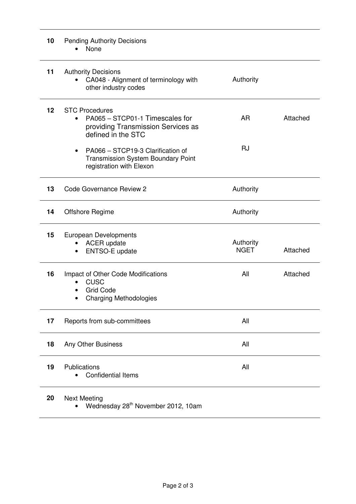| 10 | <b>Pending Authority Decisions</b><br>None                                                                                |                          |          |
|----|---------------------------------------------------------------------------------------------------------------------------|--------------------------|----------|
| 11 | <b>Authority Decisions</b><br>CA048 - Alignment of terminology with<br>other industry codes                               | Authority                |          |
| 12 | <b>STC Procedures</b><br>PA065 - STCP01-1 Timescales for<br>٠<br>providing Transmission Services as<br>defined in the STC | <b>AR</b>                | Attached |
|    | PA066 - STCP19-3 Clarification of<br>٠<br><b>Transmission System Boundary Point</b><br>registration with Elexon           | <b>RJ</b>                |          |
| 13 | <b>Code Governance Review 2</b>                                                                                           | Authority                |          |
| 14 | <b>Offshore Regime</b>                                                                                                    | Authority                |          |
| 15 | European Developments<br><b>ACER</b> update<br>ENTSO-E update                                                             | Authority<br><b>NGET</b> | Attached |
| 16 | Impact of Other Code Modifications<br><b>CUSC</b><br><b>Grid Code</b><br><b>Charging Methodologies</b>                    | All                      | Attached |
| 17 | Reports from sub-committees                                                                                               | All                      |          |
| 18 | Any Other Business                                                                                                        | All                      |          |
| 19 | Publications<br><b>Confidential Items</b>                                                                                 | All                      |          |
| 20 | <b>Next Meeting</b>                                                                                                       |                          |          |

• Wednesday  $28<sup>th</sup>$  November 2012, 10am